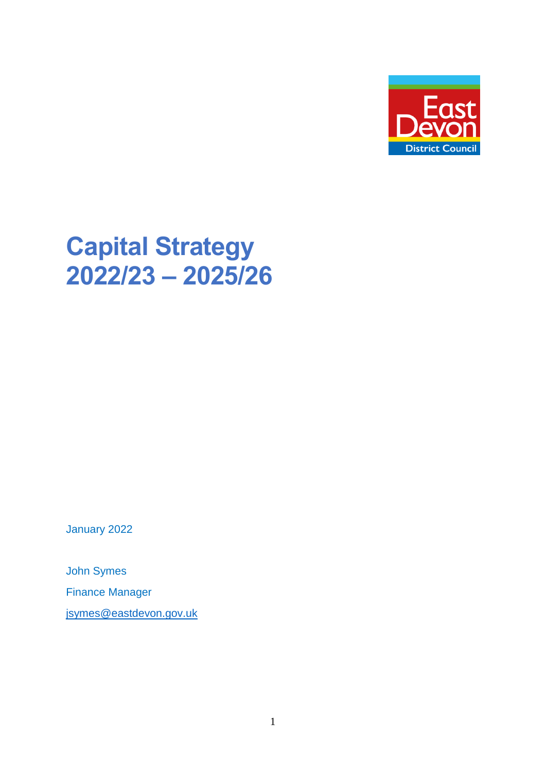

# **Capital Strategy 2022/23 – 2025/26**

January 2022

John Symes Finance Manager [jsymes@eastdevon.gov.uk](mailto:jsymes@eastdevon.gov.uk)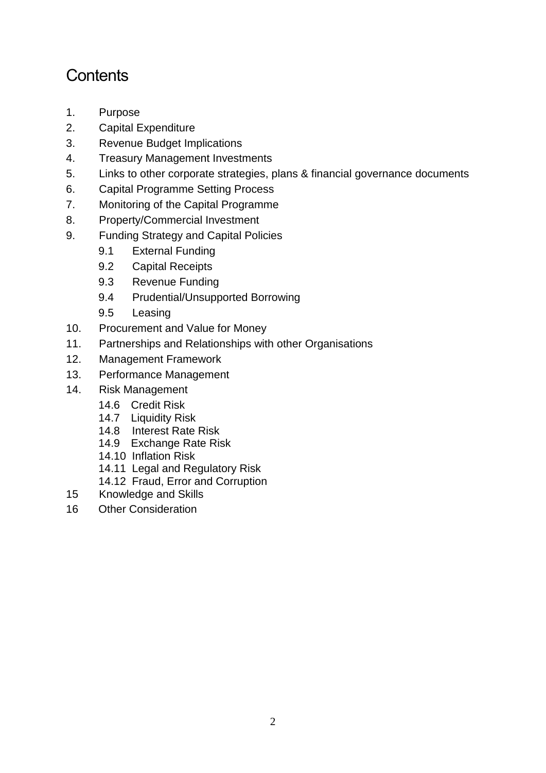# **Contents**

- 1. Purpose
- 2. Capital Expenditure
- 3. Revenue Budget Implications
- 4. Treasury Management Investments
- 5. Links to other corporate strategies, plans & financial governance documents
- 6. Capital Programme Setting Process
- 7. Monitoring of the Capital Programme
- 8. Property/Commercial Investment
- 9. Funding Strategy and Capital Policies
	- 9.1 External Funding
	- 9.2 Capital Receipts
	- 9.3 Revenue Funding
	- 9.4 Prudential/Unsupported Borrowing
	- 9.5 Leasing
- 10. Procurement and Value for Money
- 11. Partnerships and Relationships with other Organisations
- 12. Management Framework
- 13. Performance Management
- 14. Risk Management
	- 14.6 Credit Risk
	- 14.7 Liquidity Risk
	- 14.8 Interest Rate Risk
	- 14.9 Exchange Rate Risk
	- 14.10 Inflation Risk
	- 14.11 Legal and Regulatory Risk
	- 14.12 Fraud, Error and Corruption
- 15 Knowledge and Skills
- 16 Other Consideration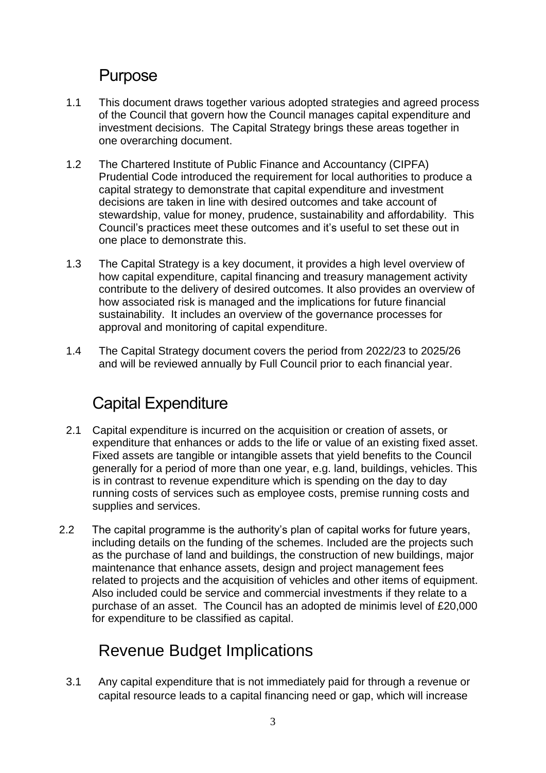### **Purpose**

- 1.1 This document draws together various adopted strategies and agreed process of the Council that govern how the Council manages capital expenditure and investment decisions. The Capital Strategy brings these areas together in one overarching document.
- 1.2 The Chartered Institute of Public Finance and Accountancy (CIPFA) Prudential Code introduced the requirement for local authorities to produce a capital strategy to demonstrate that capital expenditure and investment decisions are taken in line with desired outcomes and take account of stewardship, value for money, prudence, sustainability and affordability. This Council's practices meet these outcomes and it's useful to set these out in one place to demonstrate this.
- 1.3 The Capital Strategy is a key document, it provides a high level overview of how capital expenditure, capital financing and treasury management activity contribute to the delivery of desired outcomes. It also provides an overview of how associated risk is managed and the implications for future financial sustainability. It includes an overview of the governance processes for approval and monitoring of capital expenditure.
- 1.4 The Capital Strategy document covers the period from 2022/23 to 2025/26 and will be reviewed annually by Full Council prior to each financial year.

# Capital Expenditure

- 2.1 Capital expenditure is incurred on the acquisition or creation of assets, or expenditure that enhances or adds to the life or value of an existing fixed asset. Fixed assets are tangible or intangible assets that yield benefits to the Council generally for a period of more than one year, e.g. land, buildings, vehicles. This is in contrast to revenue expenditure which is spending on the day to day running costs of services such as employee costs, premise running costs and supplies and services.
- 2.2 The capital programme is the authority's plan of capital works for future years, including details on the funding of the schemes. Included are the projects such as the purchase of land and buildings, the construction of new buildings, major maintenance that enhance assets, design and project management fees related to projects and the acquisition of vehicles and other items of equipment. Also included could be service and commercial investments if they relate to a purchase of an asset. The Council has an adopted de minimis level of £20,000 for expenditure to be classified as capital.

# Revenue Budget Implications

3.1 Any capital expenditure that is not immediately paid for through a revenue or capital resource leads to a capital financing need or gap, which will increase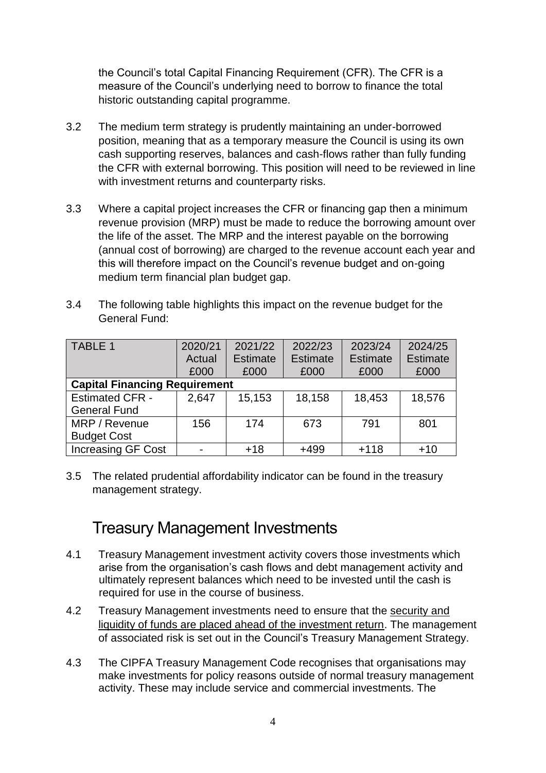the Council's total Capital Financing Requirement (CFR). The CFR is a measure of the Council's underlying need to borrow to finance the total historic outstanding capital programme.

- 3.2 The medium term strategy is prudently maintaining an under-borrowed position, meaning that as a temporary measure the Council is using its own cash supporting reserves, balances and cash-flows rather than fully funding the CFR with external borrowing. This position will need to be reviewed in line with investment returns and counterparty risks.
- 3.3 Where a capital project increases the CFR or financing gap then a minimum revenue provision (MRP) must be made to reduce the borrowing amount over the life of the asset. The MRP and the interest payable on the borrowing (annual cost of borrowing) are charged to the revenue account each year and this will therefore impact on the Council's revenue budget and on-going medium term financial plan budget gap.
- 3.4 The following table highlights this impact on the revenue budget for the General Fund:

| <b>TABLE 1</b>                       | 2020/21 | 2021/22         | 2022/23         | 2023/24         | 2024/25         |  |  |  |
|--------------------------------------|---------|-----------------|-----------------|-----------------|-----------------|--|--|--|
|                                      | Actual  | <b>Estimate</b> | <b>Estimate</b> | <b>Estimate</b> | <b>Estimate</b> |  |  |  |
|                                      | £000    | £000            | £000            | £000            | £000            |  |  |  |
| <b>Capital Financing Requirement</b> |         |                 |                 |                 |                 |  |  |  |
| <b>Estimated CFR -</b>               | 2,647   | 15,153          | 18,158          | 18,453          | 18,576          |  |  |  |
| <b>General Fund</b>                  |         |                 |                 |                 |                 |  |  |  |
| MRP / Revenue                        | 156     | 174             | 673             | 791             | 801             |  |  |  |
| <b>Budget Cost</b>                   |         |                 |                 |                 |                 |  |  |  |
| <b>Increasing GF Cost</b>            |         | $+18$           | $+499$          | $+118$          | $+10$           |  |  |  |

3.5 The related prudential affordability indicator can be found in the treasury management strategy.

#### Treasury Management Investments

- 4.1 Treasury Management investment activity covers those investments which arise from the organisation's cash flows and debt management activity and ultimately represent balances which need to be invested until the cash is required for use in the course of business.
- 4.2 Treasury Management investments need to ensure that the security and liquidity of funds are placed ahead of the investment return. The management of associated risk is set out in the Council's Treasury Management Strategy.
- 4.3 The CIPFA Treasury Management Code recognises that organisations may make investments for policy reasons outside of normal treasury management activity. These may include service and commercial investments. The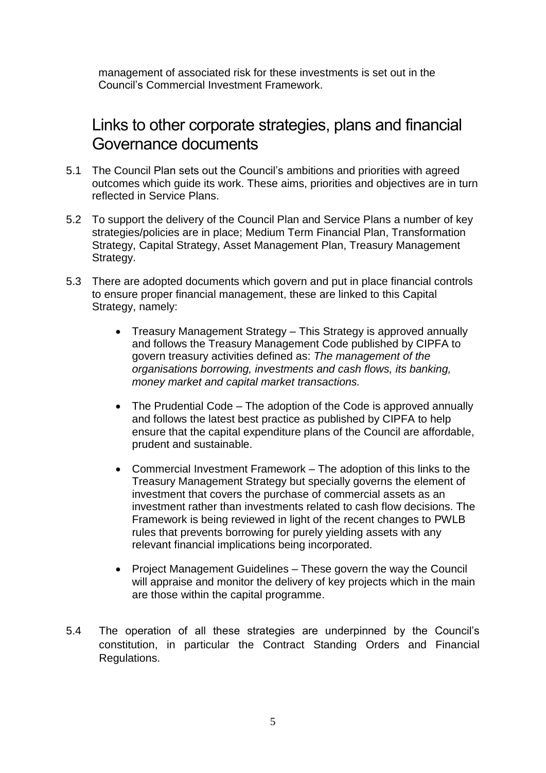management of associated risk for these investments is set out in the Council's Commercial Investment Framework.

#### Links to other corporate strategies, plans and financial Governance documents

- 5.1 The Council Plan sets out the Council's ambitions and priorities with agreed outcomes which guide its work. These aims, priorities and objectives are in turn reflected in Service Plans.
- 5.2 To support the delivery of the Council Plan and Service Plans a number of key strategies/policies are in place; Medium Term Financial Plan, Transformation Strategy, Capital Strategy, Asset Management Plan, Treasury Management Strategy.
- 5.3 There are adopted documents which govern and put in place financial controls to ensure proper financial management, these are linked to this Capital Strategy, namely:
	- Treasury Management Strategy This Strategy is approved annually and follows the Treasury Management Code published by CIPFA to govern treasury activities defined as: *The management of the organisations borrowing, investments and cash flows, its banking, money market and capital market transactions.*
	- The Prudential Code The adoption of the Code is approved annually and follows the latest best practice as published by CIPFA to help ensure that the capital expenditure plans of the Council are affordable, prudent and sustainable.
	- Commercial Investment Framework The adoption of this links to the Treasury Management Strategy but specially governs the element of investment that covers the purchase of commercial assets as an investment rather than investments related to cash flow decisions. The Framework is being reviewed in light of the recent changes to PWLB rules that prevents borrowing for purely yielding assets with any relevant financial implications being incorporated.
	- Project Management Guidelines These govern the way the Council will appraise and monitor the delivery of key projects which in the main are those within the capital programme.
- 5.4 The operation of all these strategies are underpinned by the Council's constitution, in particular the Contract Standing Orders and Financial Regulations.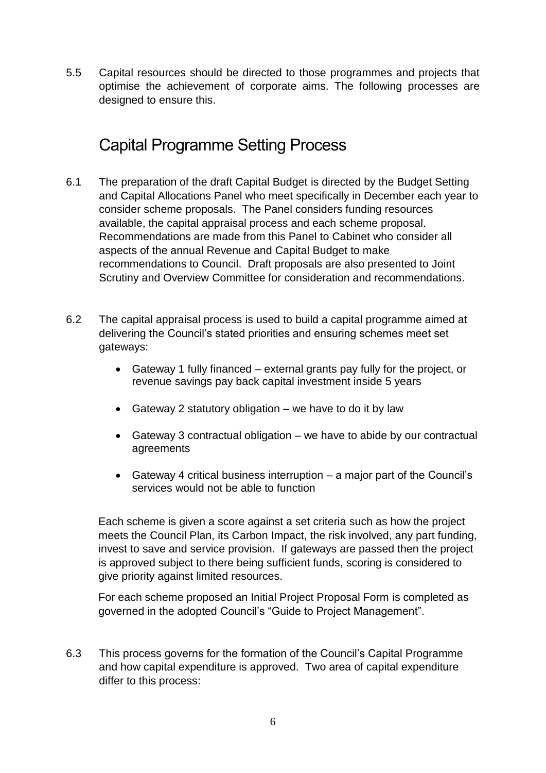5.5 Capital resources should be directed to those programmes and projects that optimise the achievement of corporate aims. The following processes are designed to ensure this.

### Capital Programme Setting Process

- 6.1 The preparation of the draft Capital Budget is directed by the Budget Setting and Capital Allocations Panel who meet specifically in December each year to consider scheme proposals. The Panel considers funding resources available, the capital appraisal process and each scheme proposal. Recommendations are made from this Panel to Cabinet who consider all aspects of the annual Revenue and Capital Budget to make recommendations to Council. Draft proposals are also presented to Joint Scrutiny and Overview Committee for consideration and recommendations.
- 6.2 The capital appraisal process is used to build a capital programme aimed at delivering the Council's stated priorities and ensuring schemes meet set gateways:
	- Gateway 1 fully financed external grants pay fully for the project, or revenue savings pay back capital investment inside 5 years
	- Gateway 2 statutory obligation we have to do it by law
	- Gateway 3 contractual obligation we have to abide by our contractual agreements
	- Gateway 4 critical business interruption a major part of the Council's services would not be able to function

Each scheme is given a score against a set criteria such as how the project meets the Council Plan, its Carbon Impact, the risk involved, any part funding, invest to save and service provision. If gateways are passed then the project is approved subject to there being sufficient funds, scoring is considered to give priority against limited resources.

For each scheme proposed an Initial Project Proposal Form is completed as governed in the adopted Council's "Guide to Project Management".

6.3 This process governs for the formation of the Council's Capital Programme and how capital expenditure is approved. Two area of capital expenditure differ to this process: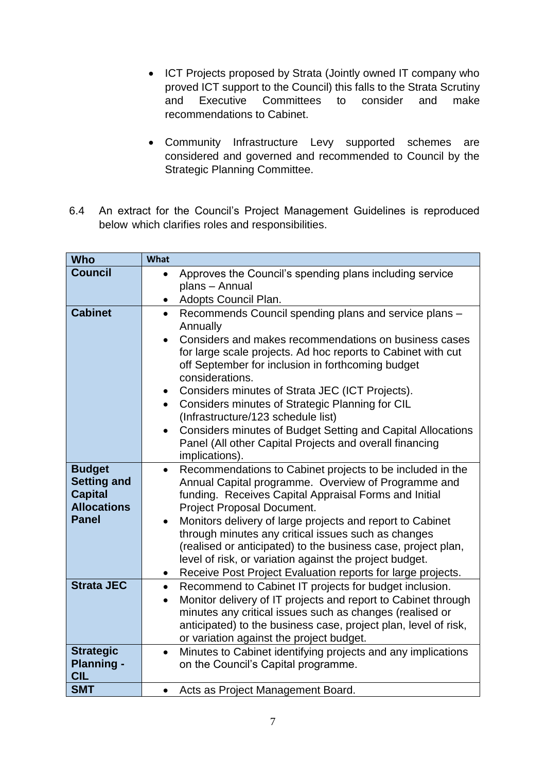- ICT Projects proposed by Strata (Jointly owned IT company who proved ICT support to the Council) this falls to the Strata Scrutiny and Executive Committees to consider and make recommendations to Cabinet.
- Community Infrastructure Levy supported schemes are considered and governed and recommended to Council by the Strategic Planning Committee.
- 6.4 An extract for the Council's Project Management Guidelines is reproduced below which clarifies roles and responsibilities.

| <b>Who</b>                                                                  | <b>What</b>                                                                                                                                                                                                                                                                                                                           |
|-----------------------------------------------------------------------------|---------------------------------------------------------------------------------------------------------------------------------------------------------------------------------------------------------------------------------------------------------------------------------------------------------------------------------------|
| <b>Council</b>                                                              | Approves the Council's spending plans including service<br>$\bullet$                                                                                                                                                                                                                                                                  |
|                                                                             | plans - Annual                                                                                                                                                                                                                                                                                                                        |
|                                                                             | Adopts Council Plan.<br>$\bullet$                                                                                                                                                                                                                                                                                                     |
| <b>Cabinet</b>                                                              | Recommends Council spending plans and service plans -<br>$\bullet$<br>Annually<br>Considers and makes recommendations on business cases<br>$\bullet$                                                                                                                                                                                  |
|                                                                             | for large scale projects. Ad hoc reports to Cabinet with cut<br>off September for inclusion in forthcoming budget<br>considerations.                                                                                                                                                                                                  |
|                                                                             | Considers minutes of Strata JEC (ICT Projects).<br>$\bullet$                                                                                                                                                                                                                                                                          |
|                                                                             | Considers minutes of Strategic Planning for CIL<br>$\bullet$<br>(Infrastructure/123 schedule list)                                                                                                                                                                                                                                    |
|                                                                             | Considers minutes of Budget Setting and Capital Allocations<br>$\bullet$<br>Panel (All other Capital Projects and overall financing<br>implications).                                                                                                                                                                                 |
| <b>Budget</b><br><b>Setting and</b><br><b>Capital</b><br><b>Allocations</b> | Recommendations to Cabinet projects to be included in the<br>$\bullet$<br>Annual Capital programme. Overview of Programme and<br>funding. Receives Capital Appraisal Forms and Initial<br>Project Proposal Document.                                                                                                                  |
| <b>Panel</b>                                                                | Monitors delivery of large projects and report to Cabinet<br>$\bullet$<br>through minutes any critical issues such as changes<br>(realised or anticipated) to the business case, project plan,<br>level of risk, or variation against the project budget.<br>Receive Post Project Evaluation reports for large projects.<br>$\bullet$ |
| <b>Strata JEC</b>                                                           | Recommend to Cabinet IT projects for budget inclusion.<br>$\bullet$                                                                                                                                                                                                                                                                   |
|                                                                             | Monitor delivery of IT projects and report to Cabinet through<br>$\bullet$                                                                                                                                                                                                                                                            |
|                                                                             | minutes any critical issues such as changes (realised or<br>anticipated) to the business case, project plan, level of risk,<br>or variation against the project budget.                                                                                                                                                               |
| <b>Strategic</b><br><b>Planning -</b><br><b>CIL</b>                         | Minutes to Cabinet identifying projects and any implications<br>$\bullet$<br>on the Council's Capital programme.                                                                                                                                                                                                                      |
| <b>SMT</b>                                                                  | Acts as Project Management Board.<br>$\bullet$                                                                                                                                                                                                                                                                                        |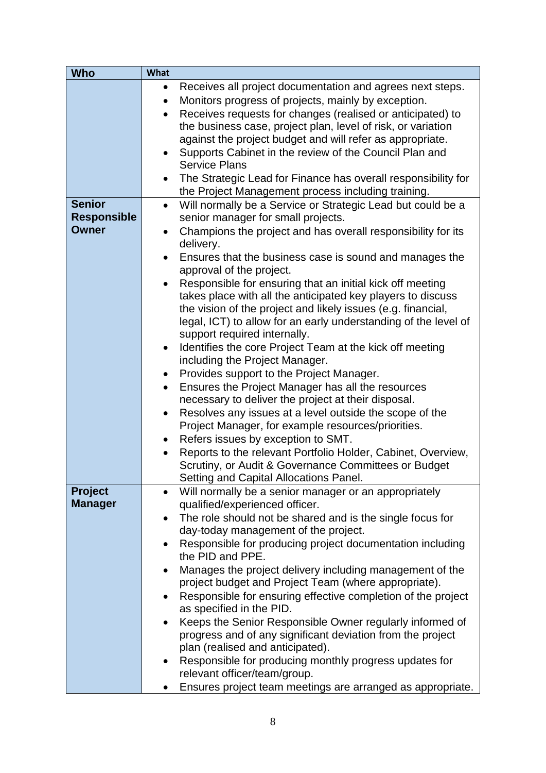| <b>Who</b>         | What      |                                                                                                |  |  |  |  |
|--------------------|-----------|------------------------------------------------------------------------------------------------|--|--|--|--|
|                    | $\bullet$ | Receives all project documentation and agrees next steps.                                      |  |  |  |  |
|                    | ٠         | Monitors progress of projects, mainly by exception.                                            |  |  |  |  |
|                    | $\bullet$ | Receives requests for changes (realised or anticipated) to                                     |  |  |  |  |
|                    |           | the business case, project plan, level of risk, or variation                                   |  |  |  |  |
|                    |           | against the project budget and will refer as appropriate.                                      |  |  |  |  |
|                    | $\bullet$ | Supports Cabinet in the review of the Council Plan and                                         |  |  |  |  |
|                    |           | <b>Service Plans</b>                                                                           |  |  |  |  |
|                    |           | The Strategic Lead for Finance has overall responsibility for                                  |  |  |  |  |
|                    |           | the Project Management process including training.                                             |  |  |  |  |
| <b>Senior</b>      | ٠         | Will normally be a Service or Strategic Lead but could be a                                    |  |  |  |  |
| <b>Responsible</b> |           | senior manager for small projects.                                                             |  |  |  |  |
| Owner              | ٠         | Champions the project and has overall responsibility for its                                   |  |  |  |  |
|                    |           | delivery.                                                                                      |  |  |  |  |
|                    | $\bullet$ | Ensures that the business case is sound and manages the                                        |  |  |  |  |
|                    |           | approval of the project.                                                                       |  |  |  |  |
|                    | $\bullet$ | Responsible for ensuring that an initial kick off meeting                                      |  |  |  |  |
|                    |           | takes place with all the anticipated key players to discuss                                    |  |  |  |  |
|                    |           | the vision of the project and likely issues (e.g. financial,                                   |  |  |  |  |
|                    |           | legal, ICT) to allow for an early understanding of the level of                                |  |  |  |  |
|                    |           | support required internally.                                                                   |  |  |  |  |
|                    |           | Identifies the core Project Team at the kick off meeting                                       |  |  |  |  |
|                    |           | including the Project Manager.                                                                 |  |  |  |  |
|                    | $\bullet$ | Provides support to the Project Manager.                                                       |  |  |  |  |
|                    | ٠         | Ensures the Project Manager has all the resources                                              |  |  |  |  |
|                    |           | necessary to deliver the project at their disposal.                                            |  |  |  |  |
|                    | $\bullet$ | Resolves any issues at a level outside the scope of the                                        |  |  |  |  |
|                    |           | Project Manager, for example resources/priorities.                                             |  |  |  |  |
|                    | $\bullet$ | Refers issues by exception to SMT.                                                             |  |  |  |  |
|                    | $\bullet$ | Reports to the relevant Portfolio Holder, Cabinet, Overview,                                   |  |  |  |  |
|                    |           | Scrutiny, or Audit & Governance Committees or Budget<br>Setting and Capital Allocations Panel. |  |  |  |  |
| Project            |           | Will normally be a senior manager or an appropriately                                          |  |  |  |  |
| <b>Manager</b>     |           | qualified/experienced officer.                                                                 |  |  |  |  |
|                    |           | The role should not be shared and is the single focus for                                      |  |  |  |  |
|                    |           | day-today management of the project.                                                           |  |  |  |  |
|                    |           | Responsible for producing project documentation including                                      |  |  |  |  |
|                    |           | the PID and PPE.                                                                               |  |  |  |  |
|                    | ٠         | Manages the project delivery including management of the                                       |  |  |  |  |
|                    |           | project budget and Project Team (where appropriate).                                           |  |  |  |  |
|                    |           | Responsible for ensuring effective completion of the project                                   |  |  |  |  |
|                    |           | as specified in the PID.                                                                       |  |  |  |  |
|                    |           | Keeps the Senior Responsible Owner regularly informed of                                       |  |  |  |  |
|                    |           | progress and of any significant deviation from the project                                     |  |  |  |  |
|                    |           | plan (realised and anticipated).                                                               |  |  |  |  |
|                    |           | Responsible for producing monthly progress updates for                                         |  |  |  |  |
|                    |           | relevant officer/team/group.                                                                   |  |  |  |  |
|                    |           | Ensures project team meetings are arranged as appropriate.                                     |  |  |  |  |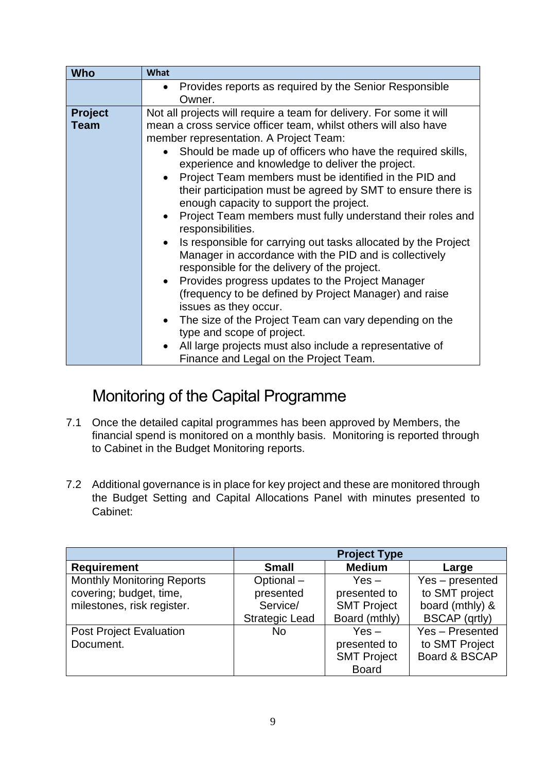| <b>Who</b>                    | <b>What</b>                                                                                                                                                                                                                                                                                                                                                                                                                                                                                                                                                                                                                                                                                                                                                                                                                                                                                 |
|-------------------------------|---------------------------------------------------------------------------------------------------------------------------------------------------------------------------------------------------------------------------------------------------------------------------------------------------------------------------------------------------------------------------------------------------------------------------------------------------------------------------------------------------------------------------------------------------------------------------------------------------------------------------------------------------------------------------------------------------------------------------------------------------------------------------------------------------------------------------------------------------------------------------------------------|
|                               | Provides reports as required by the Senior Responsible<br>$\bullet$<br>Owner.                                                                                                                                                                                                                                                                                                                                                                                                                                                                                                                                                                                                                                                                                                                                                                                                               |
| <b>Project</b><br><b>Team</b> | Not all projects will require a team for delivery. For some it will<br>mean a cross service officer team, whilst others will also have<br>member representation. A Project Team:<br>Should be made up of officers who have the required skills,<br>experience and knowledge to deliver the project.<br>Project Team members must be identified in the PID and<br>their participation must be agreed by SMT to ensure there is<br>enough capacity to support the project.<br>Project Team members must fully understand their roles and<br>responsibilities.<br>Is responsible for carrying out tasks allocated by the Project<br>$\bullet$<br>Manager in accordance with the PID and is collectively<br>responsible for the delivery of the project.<br>Provides progress updates to the Project Manager<br>(frequency to be defined by Project Manager) and raise<br>issues as they occur. |
|                               | The size of the Project Team can vary depending on the<br>type and scope of project.<br>All large projects must also include a representative of                                                                                                                                                                                                                                                                                                                                                                                                                                                                                                                                                                                                                                                                                                                                            |
|                               | Finance and Legal on the Project Team.                                                                                                                                                                                                                                                                                                                                                                                                                                                                                                                                                                                                                                                                                                                                                                                                                                                      |

### Monitoring of the Capital Programme

- 7.1 Once the detailed capital programmes has been approved by Members, the financial spend is monitored on a monthly basis. Monitoring is reported through to Cabinet in the Budget Monitoring reports.
- 7.2 Additional governance is in place for key project and these are monitored through the Budget Setting and Capital Allocations Panel with minutes presented to Cabinet:

|                                   | <b>Project Type</b>   |                    |                      |
|-----------------------------------|-----------------------|--------------------|----------------------|
| <b>Requirement</b>                | <b>Small</b>          | <b>Medium</b>      | Large                |
| <b>Monthly Monitoring Reports</b> | Optional-             | $Yes -$            | Yes - presented      |
| covering; budget, time,           | presented             | presented to       | to SMT project       |
| milestones, risk register.        | Service/              | <b>SMT Project</b> | board (mthly) &      |
|                                   | <b>Strategic Lead</b> | Board (mthly)      | <b>BSCAP</b> (qrtly) |
| <b>Post Project Evaluation</b>    | <b>No</b>             | Yes $-$            | Yes - Presented      |
| Document.                         |                       | presented to       | to SMT Project       |
|                                   |                       | <b>SMT Project</b> | Board & BSCAP        |
|                                   |                       | <b>Board</b>       |                      |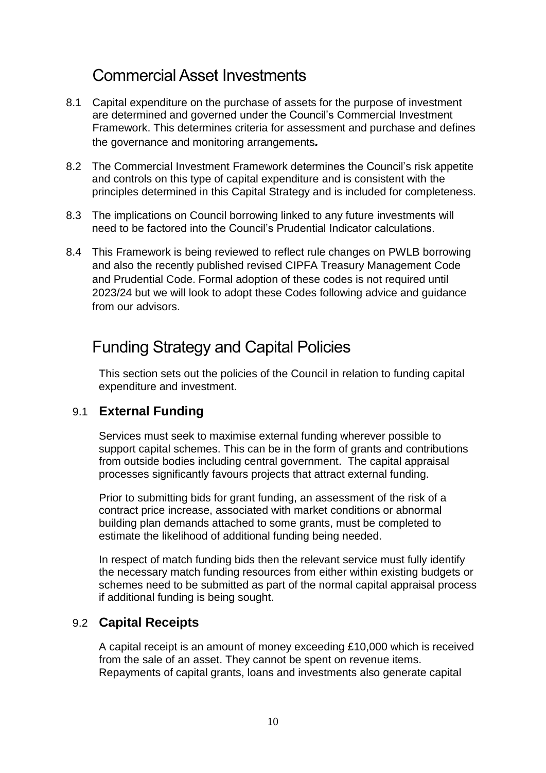### Commercial Asset Investments

- 8.1 Capital expenditure on the purchase of assets for the purpose of investment are determined and governed under the Council's Commercial Investment Framework. This determines criteria for assessment and purchase and defines the governance and monitoring arrangements*.*
- 8.2 The Commercial Investment Framework determines the Council's risk appetite and controls on this type of capital expenditure and is consistent with the principles determined in this Capital Strategy and is included for completeness.
- 8.3 The implications on Council borrowing linked to any future investments will need to be factored into the Council's Prudential Indicator calculations.
- 8.4 This Framework is being reviewed to reflect rule changes on PWLB borrowing and also the recently published revised CIPFA Treasury Management Code and Prudential Code. Formal adoption of these codes is not required until 2023/24 but we will look to adopt these Codes following advice and guidance from our advisors.

### Funding Strategy and Capital Policies

This section sets out the policies of the Council in relation to funding capital expenditure and investment.

#### 9.1 **External Funding**

Services must seek to maximise external funding wherever possible to support capital schemes. This can be in the form of grants and contributions from outside bodies including central government. The capital appraisal processes significantly favours projects that attract external funding.

Prior to submitting bids for grant funding, an assessment of the risk of a contract price increase, associated with market conditions or abnormal building plan demands attached to some grants, must be completed to estimate the likelihood of additional funding being needed.

In respect of match funding bids then the relevant service must fully identify the necessary match funding resources from either within existing budgets or schemes need to be submitted as part of the normal capital appraisal process if additional funding is being sought.

#### 9.2 **Capital Receipts**

A capital receipt is an amount of money exceeding £10,000 which is received from the sale of an asset. They cannot be spent on revenue items. Repayments of capital grants, loans and investments also generate capital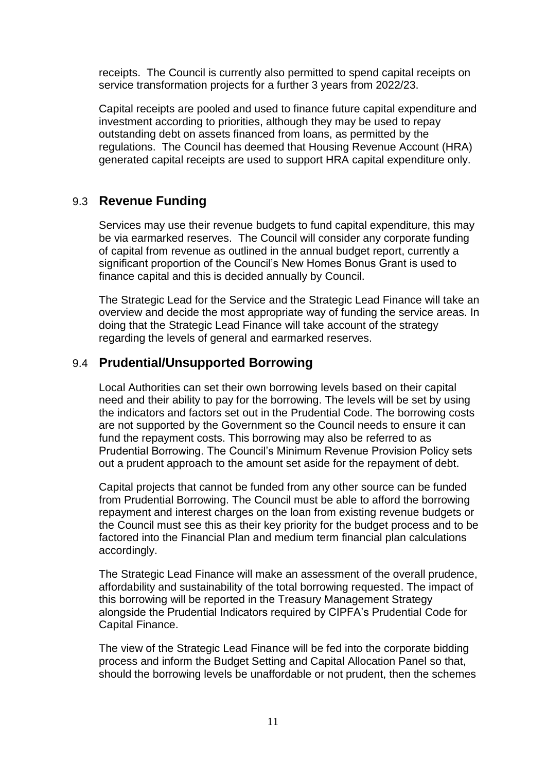receipts. The Council is currently also permitted to spend capital receipts on service transformation projects for a further 3 years from 2022/23.

Capital receipts are pooled and used to finance future capital expenditure and investment according to priorities, although they may be used to repay outstanding debt on assets financed from loans, as permitted by the regulations. The Council has deemed that Housing Revenue Account (HRA) generated capital receipts are used to support HRA capital expenditure only.

#### 9.3 **Revenue Funding**

Services may use their revenue budgets to fund capital expenditure, this may be via earmarked reserves. The Council will consider any corporate funding of capital from revenue as outlined in the annual budget report, currently a significant proportion of the Council's New Homes Bonus Grant is used to finance capital and this is decided annually by Council.

The Strategic Lead for the Service and the Strategic Lead Finance will take an overview and decide the most appropriate way of funding the service areas. In doing that the Strategic Lead Finance will take account of the strategy regarding the levels of general and earmarked reserves.

#### 9.4 **Prudential/Unsupported Borrowing**

Local Authorities can set their own borrowing levels based on their capital need and their ability to pay for the borrowing. The levels will be set by using the indicators and factors set out in the Prudential Code. The borrowing costs are not supported by the Government so the Council needs to ensure it can fund the repayment costs. This borrowing may also be referred to as Prudential Borrowing. The Council's Minimum Revenue Provision Policy sets out a prudent approach to the amount set aside for the repayment of debt.

Capital projects that cannot be funded from any other source can be funded from Prudential Borrowing. The Council must be able to afford the borrowing repayment and interest charges on the loan from existing revenue budgets or the Council must see this as their key priority for the budget process and to be factored into the Financial Plan and medium term financial plan calculations accordingly.

The Strategic Lead Finance will make an assessment of the overall prudence, affordability and sustainability of the total borrowing requested. The impact of this borrowing will be reported in the Treasury Management Strategy alongside the Prudential Indicators required by CIPFA's Prudential Code for Capital Finance.

The view of the Strategic Lead Finance will be fed into the corporate bidding process and inform the Budget Setting and Capital Allocation Panel so that, should the borrowing levels be unaffordable or not prudent, then the schemes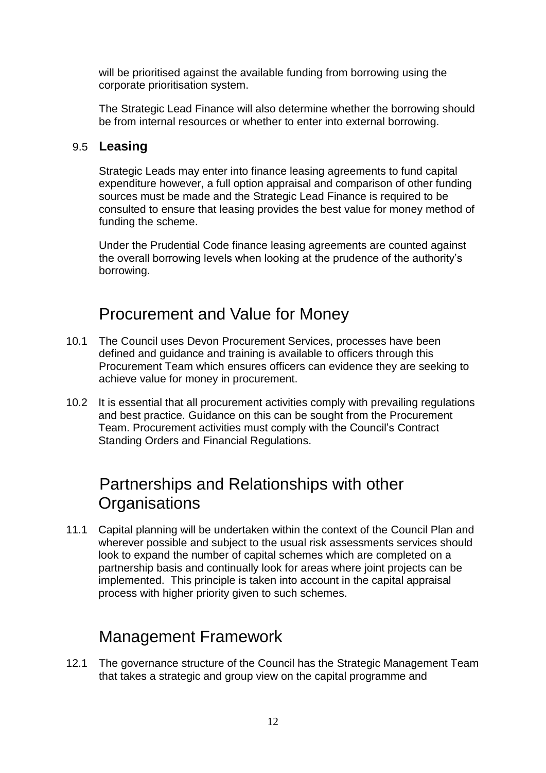will be prioritised against the available funding from borrowing using the corporate prioritisation system.

The Strategic Lead Finance will also determine whether the borrowing should be from internal resources or whether to enter into external borrowing.

#### 9.5 **Leasing**

Strategic Leads may enter into finance leasing agreements to fund capital expenditure however, a full option appraisal and comparison of other funding sources must be made and the Strategic Lead Finance is required to be consulted to ensure that leasing provides the best value for money method of funding the scheme.

Under the Prudential Code finance leasing agreements are counted against the overall borrowing levels when looking at the prudence of the authority's borrowing.

#### Procurement and Value for Money

- 10.1 The Council uses Devon Procurement Services, processes have been defined and guidance and training is available to officers through this Procurement Team which ensures officers can evidence they are seeking to achieve value for money in procurement.
- 10.2 It is essential that all procurement activities comply with prevailing regulations and best practice. Guidance on this can be sought from the Procurement Team. Procurement activities must comply with the Council's Contract Standing Orders and Financial Regulations.

# Partnerships and Relationships with other **Organisations**

11.1 Capital planning will be undertaken within the context of the Council Plan and wherever possible and subject to the usual risk assessments services should look to expand the number of capital schemes which are completed on a partnership basis and continually look for areas where joint projects can be implemented. This principle is taken into account in the capital appraisal process with higher priority given to such schemes.

#### Management Framework

12.1 The governance structure of the Council has the Strategic Management Team that takes a strategic and group view on the capital programme and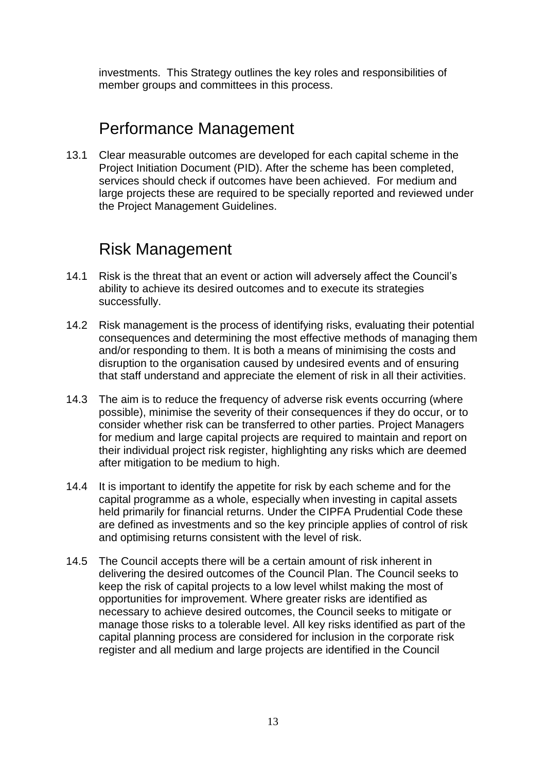investments. This Strategy outlines the key roles and responsibilities of member groups and committees in this process.

### Performance Management

13.1 Clear measurable outcomes are developed for each capital scheme in the Project Initiation Document (PID). After the scheme has been completed, services should check if outcomes have been achieved. For medium and large projects these are required to be specially reported and reviewed under the Project Management Guidelines.

#### Risk Management

- 14.1 Risk is the threat that an event or action will adversely affect the Council's ability to achieve its desired outcomes and to execute its strategies successfully.
- 14.2 Risk management is the process of identifying risks, evaluating their potential consequences and determining the most effective methods of managing them and/or responding to them. It is both a means of minimising the costs and disruption to the organisation caused by undesired events and of ensuring that staff understand and appreciate the element of risk in all their activities.
- 14.3 The aim is to reduce the frequency of adverse risk events occurring (where possible), minimise the severity of their consequences if they do occur, or to consider whether risk can be transferred to other parties. Project Managers for medium and large capital projects are required to maintain and report on their individual project risk register, highlighting any risks which are deemed after mitigation to be medium to high.
- 14.4 It is important to identify the appetite for risk by each scheme and for the capital programme as a whole, especially when investing in capital assets held primarily for financial returns. Under the CIPFA Prudential Code these are defined as investments and so the key principle applies of control of risk and optimising returns consistent with the level of risk.
- 14.5 The Council accepts there will be a certain amount of risk inherent in delivering the desired outcomes of the Council Plan. The Council seeks to keep the risk of capital projects to a low level whilst making the most of opportunities for improvement. Where greater risks are identified as necessary to achieve desired outcomes, the Council seeks to mitigate or manage those risks to a tolerable level. All key risks identified as part of the capital planning process are considered for inclusion in the corporate risk register and all medium and large projects are identified in the Council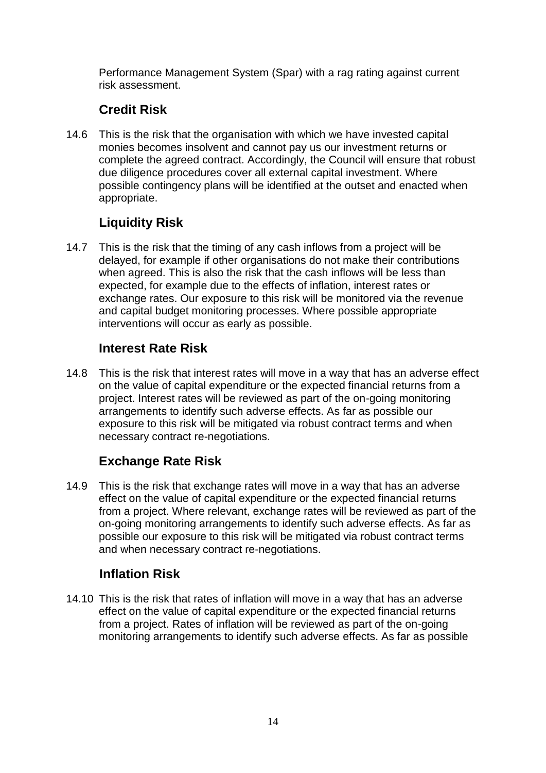Performance Management System (Spar) with a rag rating against current risk assessment.

#### **Credit Risk**

14.6 This is the risk that the organisation with which we have invested capital monies becomes insolvent and cannot pay us our investment returns or complete the agreed contract. Accordingly, the Council will ensure that robust due diligence procedures cover all external capital investment. Where possible contingency plans will be identified at the outset and enacted when appropriate.

#### **Liquidity Risk**

14.7 This is the risk that the timing of any cash inflows from a project will be delayed, for example if other organisations do not make their contributions when agreed. This is also the risk that the cash inflows will be less than expected, for example due to the effects of inflation, interest rates or exchange rates. Our exposure to this risk will be monitored via the revenue and capital budget monitoring processes. Where possible appropriate interventions will occur as early as possible.

#### **Interest Rate Risk**

14.8 This is the risk that interest rates will move in a way that has an adverse effect on the value of capital expenditure or the expected financial returns from a project. Interest rates will be reviewed as part of the on-going monitoring arrangements to identify such adverse effects. As far as possible our exposure to this risk will be mitigated via robust contract terms and when necessary contract re-negotiations.

#### **Exchange Rate Risk**

14.9 This is the risk that exchange rates will move in a way that has an adverse effect on the value of capital expenditure or the expected financial returns from a project. Where relevant, exchange rates will be reviewed as part of the on-going monitoring arrangements to identify such adverse effects. As far as possible our exposure to this risk will be mitigated via robust contract terms and when necessary contract re-negotiations.

#### **Inflation Risk**

14.10 This is the risk that rates of inflation will move in a way that has an adverse effect on the value of capital expenditure or the expected financial returns from a project. Rates of inflation will be reviewed as part of the on-going monitoring arrangements to identify such adverse effects. As far as possible